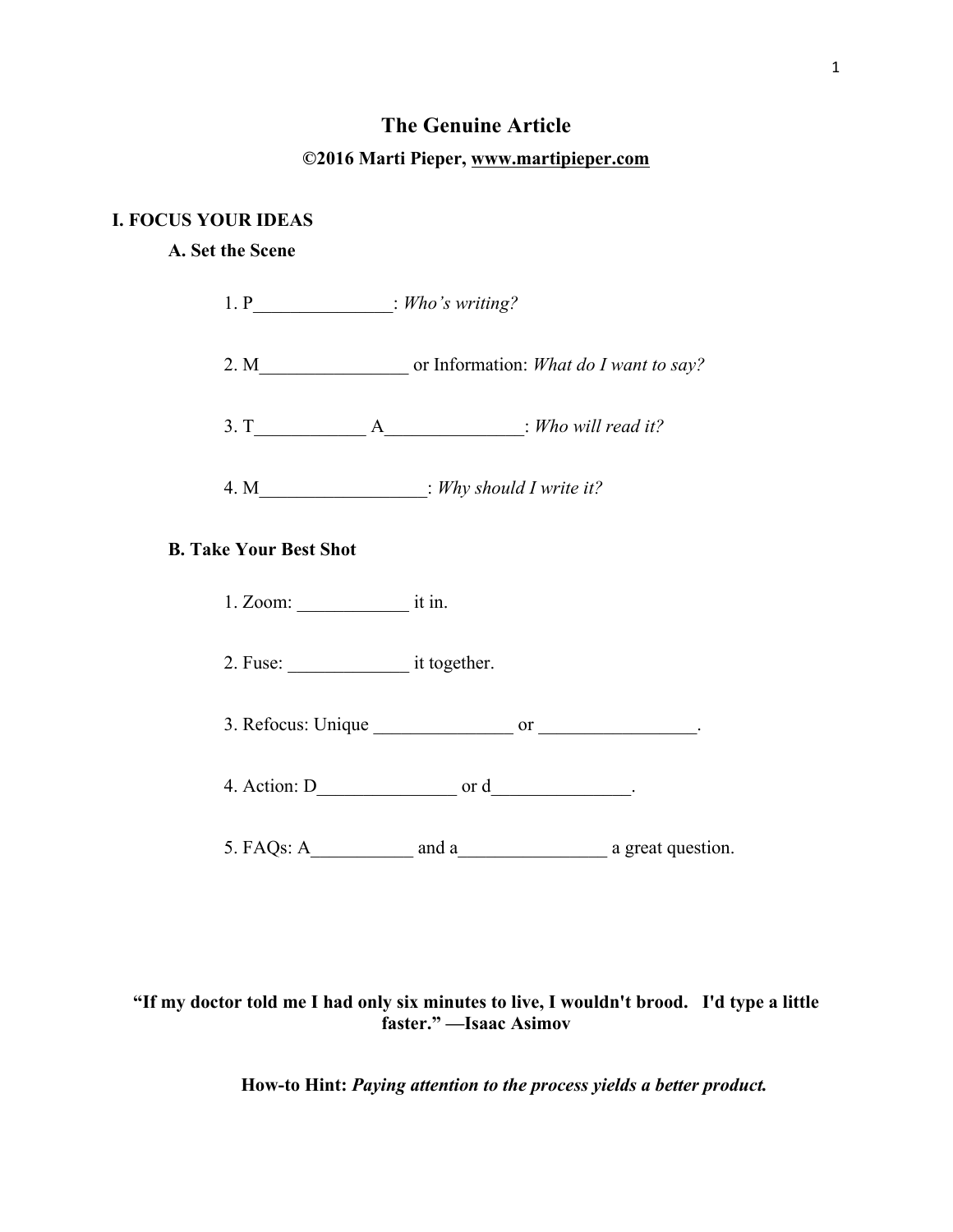# **The Genuine Article**

## **©2016 Marti Pieper, www.martipieper.com**

### **I. FOCUS YOUR IDEAS**

## **A. Set the Scene**

| 1. $P_$ : Who's writing?      |                                                     |  |
|-------------------------------|-----------------------------------------------------|--|
|                               |                                                     |  |
|                               | $3. T$ $A$ $\longrightarrow$ $Mh$ $W1$ $read it?$   |  |
|                               | 4. M_______________________: Why should I write it? |  |
| <b>B. Take Your Best Shot</b> |                                                     |  |
|                               |                                                     |  |
| 2. Fuse: it together.         |                                                     |  |
|                               | 3. Refocus: Unique $\_\_\_\_\$ or $\_\_\_\_\_\_\_\$ |  |
|                               | 4. Action: $D_$ or $d_$ .                           |  |
|                               |                                                     |  |

## **"If my doctor told me I had only six minutes to live, I wouldn't brood. I'd type a little faster." —Isaac Asimov**

**How-to Hint:** *Paying attention to the process yields a better product.*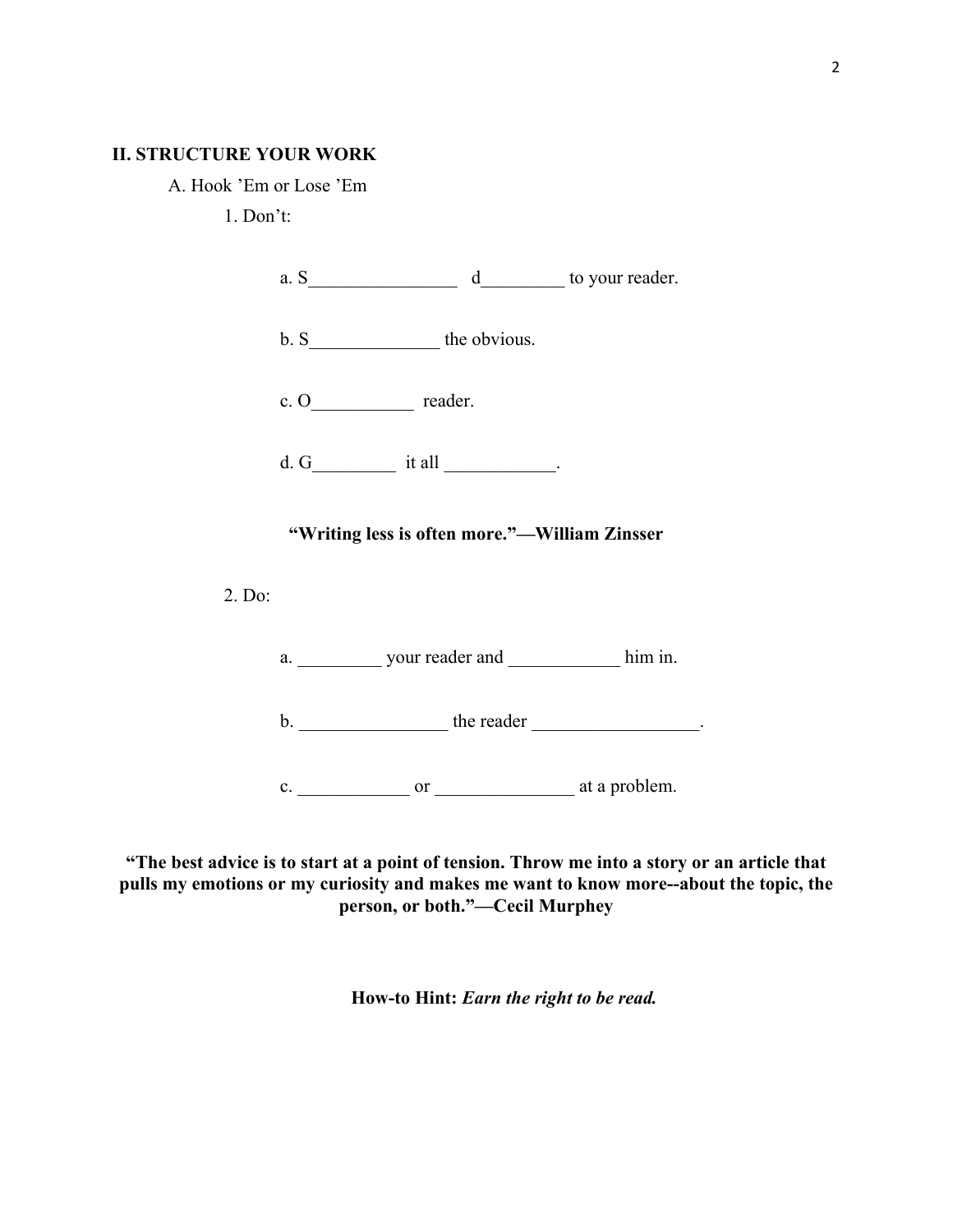### **II. STRUCTURE YOUR WORK**

A. Hook 'Em or Lose 'Em

1. Don't:



**"The best advice is to start at a point of tension. Throw me into a story or an article that pulls my emotions or my curiosity and makes me want to know more--about the topic, the person, or both."—Cecil Murphey**

**How-to Hint:** *Earn the right to be read.*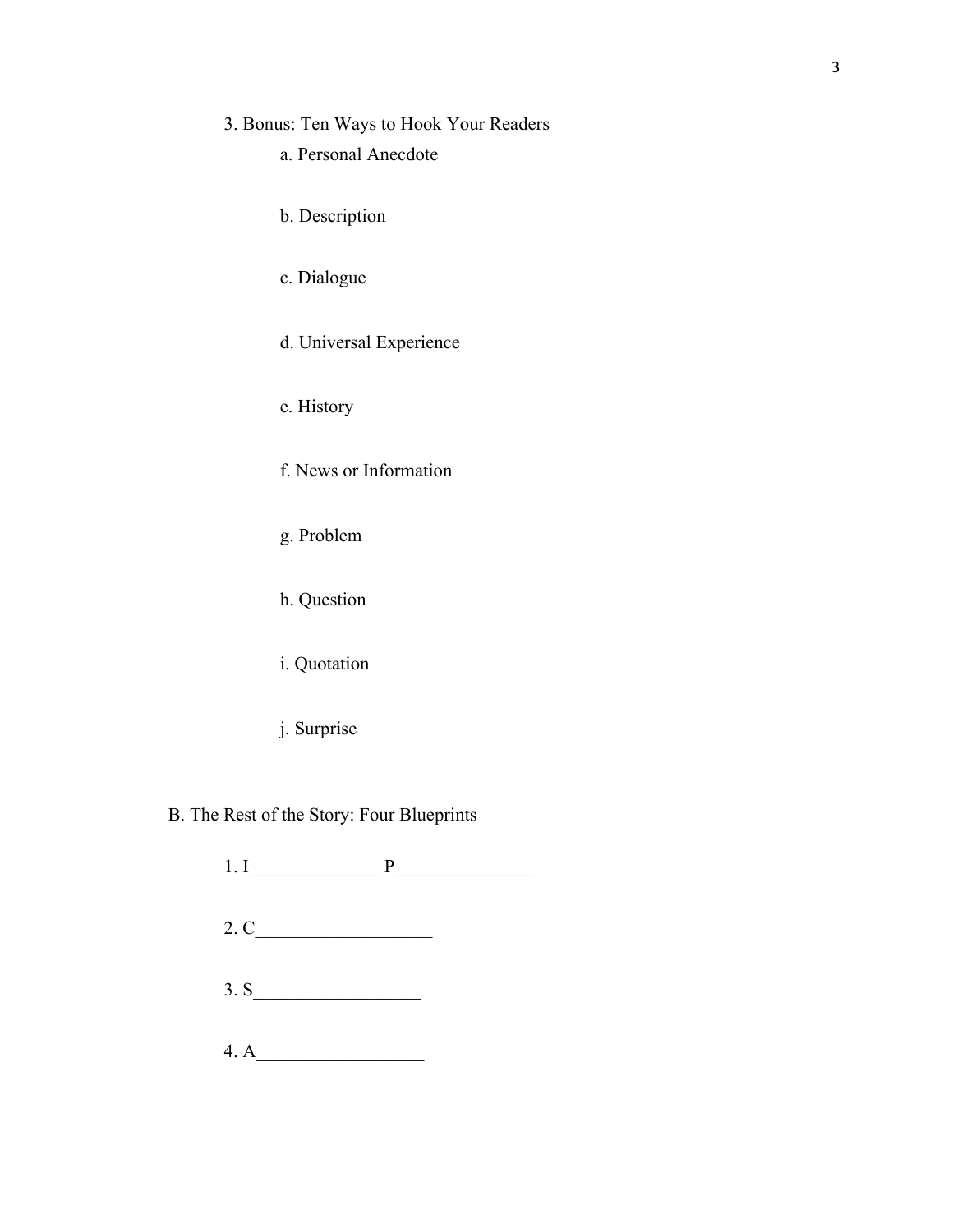## 3. Bonus: Ten Ways to Hook Your Readers

- a. Personal Anecdote
- b. Description
- c. Dialogue
- d. Universal Experience
- e. History
- f. News or Information
- g. Problem
- h. Question
- i. Quotation
- j. Surprise
- B. The Rest of the Story: Four Blueprints
	- 1. I\_\_\_\_\_\_\_\_\_\_\_\_\_\_ P\_\_\_\_\_\_\_\_\_\_\_\_\_\_\_  $2. C_1$  $3. S$  $4. A$